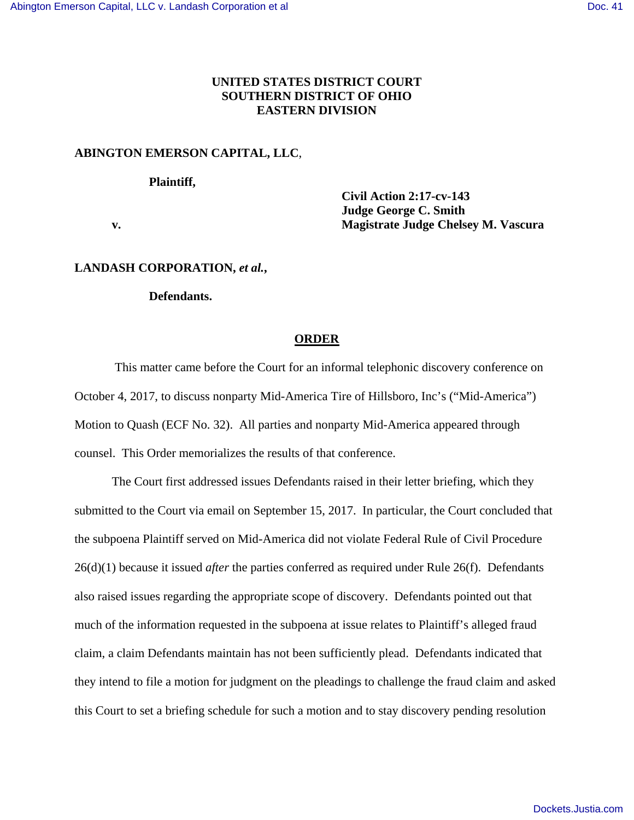## **UNITED STATES DISTRICT COURT SOUTHERN DISTRICT OF OHIO EASTERN DIVISION**

# **ABINGTON EMERSON CAPITAL, LLC**,

### **Plaintiff,**

 **Civil Action 2:17-cv-143 Judge George C. Smith v. Magistrate Judge Chelsey M. Vascura** 

#### **LANDASH CORPORATION,** *et al.***,**

#### **Defendants.**

#### **ORDER**

 This matter came before the Court for an informal telephonic discovery conference on October 4, 2017, to discuss nonparty Mid-America Tire of Hillsboro, Inc's ("Mid-America") Motion to Quash (ECF No. 32). All parties and nonparty Mid-America appeared through counsel. This Order memorializes the results of that conference.

The Court first addressed issues Defendants raised in their letter briefing, which they submitted to the Court via email on September 15, 2017. In particular, the Court concluded that the subpoena Plaintiff served on Mid-America did not violate Federal Rule of Civil Procedure 26(d)(1) because it issued *after* the parties conferred as required under Rule 26(f). Defendants also raised issues regarding the appropriate scope of discovery. Defendants pointed out that much of the information requested in the subpoena at issue relates to Plaintiff's alleged fraud claim, a claim Defendants maintain has not been sufficiently plead. Defendants indicated that they intend to file a motion for judgment on the pleadings to challenge the fraud claim and asked this Court to set a briefing schedule for such a motion and to stay discovery pending resolution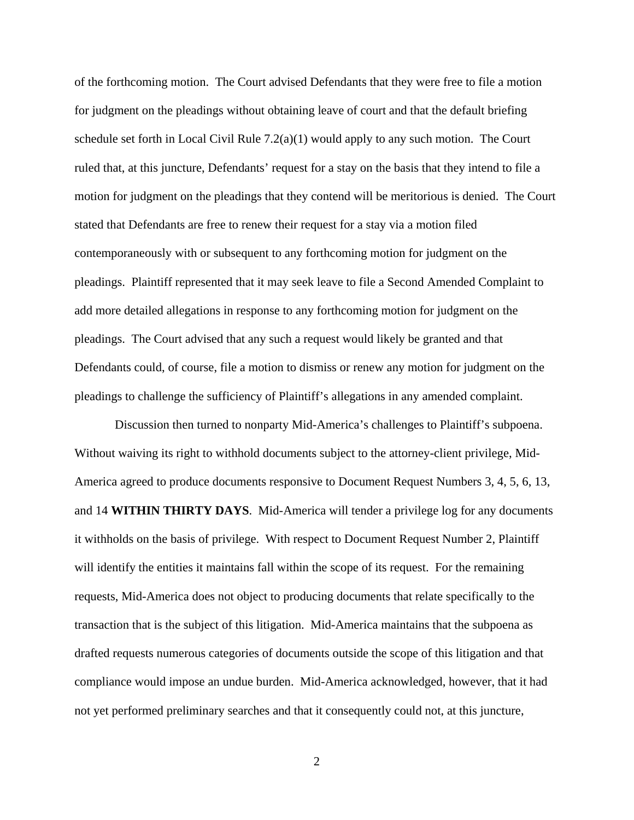of the forthcoming motion. The Court advised Defendants that they were free to file a motion for judgment on the pleadings without obtaining leave of court and that the default briefing schedule set forth in Local Civil Rule  $7.2(a)(1)$  would apply to any such motion. The Court ruled that, at this juncture, Defendants' request for a stay on the basis that they intend to file a motion for judgment on the pleadings that they contend will be meritorious is denied. The Court stated that Defendants are free to renew their request for a stay via a motion filed contemporaneously with or subsequent to any forthcoming motion for judgment on the pleadings. Plaintiff represented that it may seek leave to file a Second Amended Complaint to add more detailed allegations in response to any forthcoming motion for judgment on the pleadings. The Court advised that any such a request would likely be granted and that Defendants could, of course, file a motion to dismiss or renew any motion for judgment on the pleadings to challenge the sufficiency of Plaintiff's allegations in any amended complaint.

 Discussion then turned to nonparty Mid-America's challenges to Plaintiff's subpoena. Without waiving its right to withhold documents subject to the attorney-client privilege, Mid-America agreed to produce documents responsive to Document Request Numbers 3, 4, 5, 6, 13, and 14 **WITHIN THIRTY DAYS**. Mid-America will tender a privilege log for any documents it withholds on the basis of privilege. With respect to Document Request Number 2, Plaintiff will identify the entities it maintains fall within the scope of its request. For the remaining requests, Mid-America does not object to producing documents that relate specifically to the transaction that is the subject of this litigation. Mid-America maintains that the subpoena as drafted requests numerous categories of documents outside the scope of this litigation and that compliance would impose an undue burden. Mid-America acknowledged, however, that it had not yet performed preliminary searches and that it consequently could not, at this juncture,

2